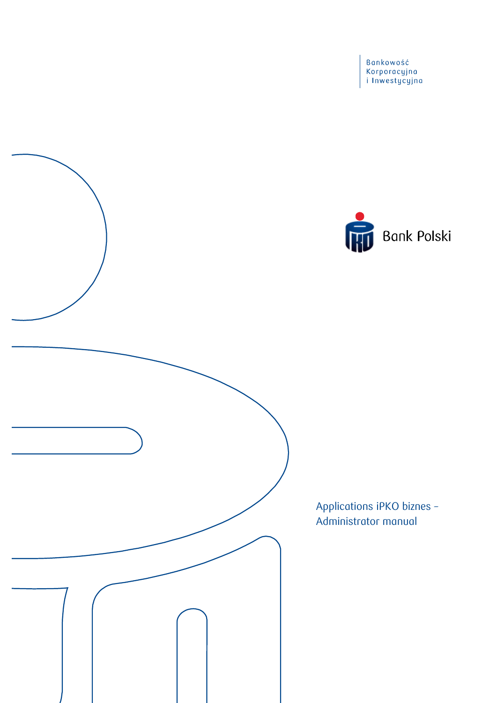Bankowość<br>Korporacyjna<br>i Inwestycyjna



Applications iPKO biznes -Administrator manual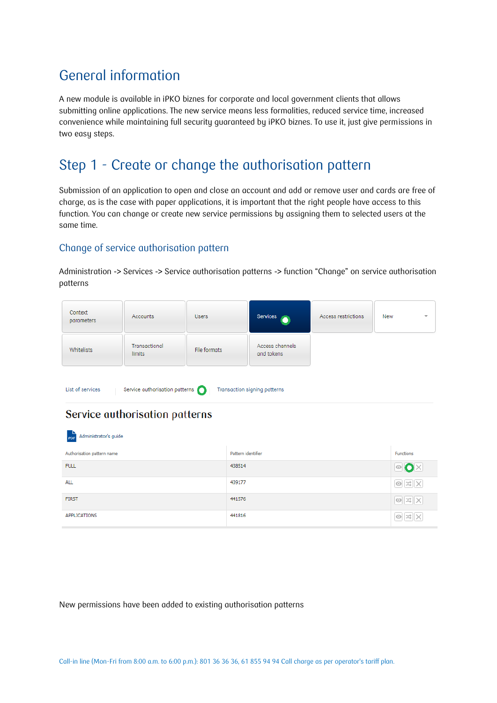# General information

A new module is available in iPKO biznes for corporate and local government clients that allows submitting online applications. The new service means less formalities, reduced service time, increased convenience while maintaining full security guaranteed by iPKO biznes. To use it, just give permissions in two easy steps.

# Step 1 - Create or change the authorisation pattern

Submission of an application to open and close an account and add or remove user and cards are free of charge, as is the case with paper applications, it is important that the right people have access to this function. You can change or create new service permissions by assigning them to selected users at the same time.

### Change of service authorisation pattern

Administration -> Services -> Service authorisation patterns -> function "Change" on service authorisation patterns

| Context<br>parameters                                                                                                                                | Accounts                       | <b>Users</b> | Services                      | Access restrictions  | New<br>٠         |  |  |
|------------------------------------------------------------------------------------------------------------------------------------------------------|--------------------------------|--------------|-------------------------------|----------------------|------------------|--|--|
| Whitelists                                                                                                                                           | Transactional<br><b>limits</b> | File formats | Access channels<br>and tokens |                      |                  |  |  |
| List of services<br>Service authorisation patterns<br>Transaction signing patterns<br>Service authorisation patterns<br>Administrator's guide<br>PDF |                                |              |                               |                      |                  |  |  |
| Authorisation pattern name                                                                                                                           |                                |              | Pattern identifier            |                      | <b>Functions</b> |  |  |
| <b>FULL</b>                                                                                                                                          |                                | 438514       |                               | <b>OOX</b>           |                  |  |  |
| <b>ALL</b>                                                                                                                                           |                                |              | 439177                        |                      |                  |  |  |
| <b>FIRST</b>                                                                                                                                         |                                |              | 441576                        | $\circ$ $\mathbb{R}$ |                  |  |  |
| <b>APPLICATIONS</b>                                                                                                                                  |                                |              | 441816                        |                      |                  |  |  |

New permissions have been added to existing authorisation patterns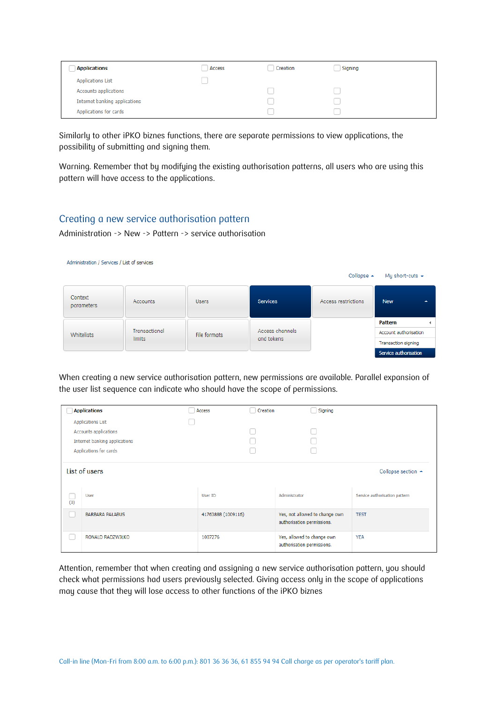| <b>Applications</b>           | Access | Creation | Signing |  |
|-------------------------------|--------|----------|---------|--|
| <b>Applications List</b>      |        |          |         |  |
| Accounts applications         |        |          |         |  |
| Internet banking applications |        |          |         |  |
| Applications for cards        |        |          |         |  |

Similarly to other iPKO biznes functions, there are separate permissions to view applications, the possibility of submitting and signing them.

Warning. Remember that by modifying the existing authorisation patterns, all users who are using this pattern will have access to the applications.

#### Creating a new service authorisation pattern

Administration -> New -> Pattern -> service authorisation

|  | Administration / Services / List of services |  |
|--|----------------------------------------------|--|
|  |                                              |  |

|                       |                                |              |                               | Collapse $\sim$     | My short-cuts $\sim$           |
|-----------------------|--------------------------------|--------------|-------------------------------|---------------------|--------------------------------|
| Context<br>parameters | Accounts                       | <b>Users</b> | <b>Services</b>               | Access restrictions | <b>New</b><br>$\blacktriangle$ |
|                       |                                |              |                               |                     | Pattern                        |
| <b>Whitelists</b>     | Transactional<br><b>limits</b> | File formats | Access channels<br>and tokens |                     | Account authorisation          |
|                       |                                |              |                               |                     | Transaction signing            |
|                       |                                |              |                               |                     | Service authorisation          |

When creating a new service authorisation pattern, new permissions are available. Parallel expansion of the user list sequence can indicate who should have the scope of permissions.

|     | <b>Applications</b>                 | Access             | Creation      | Signing                                                      |                                                               |
|-----|-------------------------------------|--------------------|---------------|--------------------------------------------------------------|---------------------------------------------------------------|
|     | <b>Applications List</b>            |                    |               |                                                              |                                                               |
|     | Accounts applications               |                    |               |                                                              |                                                               |
|     | Internet banking applications       |                    |               |                                                              |                                                               |
|     | Applications for cards              |                    |               |                                                              |                                                               |
| (0) | <b>List of users</b><br><b>User</b> | User ID            | Administrator |                                                              | Collapse section $\triangle$<br>Service authorisation pattern |
|     | <b>BARBARA PAŁABUS</b>              | 41763888 (1009116) |               | Yes, not allowed to change own<br>authorisation permissions. | <b>TEST</b>                                                   |
|     | RONALD RADZWIŁKO                    | 1007276            |               | Yes, allowed to change own<br>authorisation permissions.     | <b>YEA</b>                                                    |

Attention, remember that when creating and assigning a new service authorisation pattern, you should check what permissions had users previously selected. Giving access only in the scope of applications may cause that they will lose access to other functions of the iPKO biznes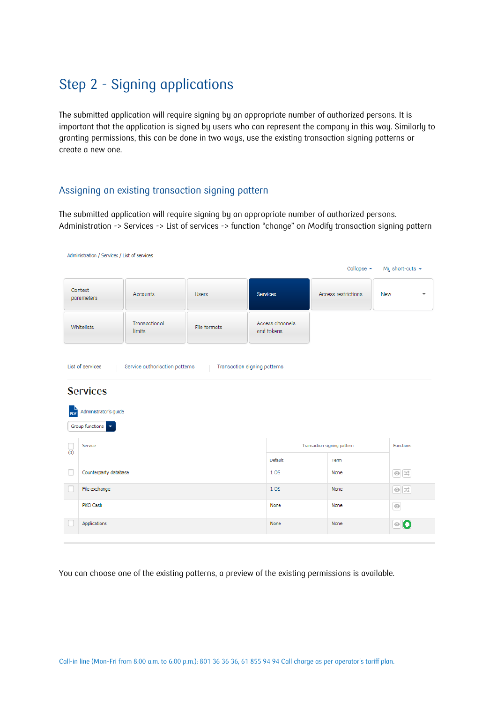# Step 2 - Signing applications

The submitted application will require signing by an appropriate number of authorized persons. It is important that the application is signed by users who can represent the company in this way. Similarly to granting permissions, this can be done in two ways, use the existing transaction signing patterns or create a new one.

### Assigning an existing transaction signing pattern

The submitted application will require signing by an appropriate number of authorized persons. Administration -> Services -> List of services -> function "change" on Modify transaction signing pattern

| Collapse $\sim$<br>My short-cuts $\sim$<br>Context<br>Access restrictions<br><b>Accounts</b><br><b>Services</b><br><b>Users</b><br><b>New</b><br>parameters | $\overline{\phantom{a}}$ |  |  |  |  |  |  |
|-------------------------------------------------------------------------------------------------------------------------------------------------------------|--------------------------|--|--|--|--|--|--|
|                                                                                                                                                             |                          |  |  |  |  |  |  |
|                                                                                                                                                             |                          |  |  |  |  |  |  |
| Access channels<br>Transactional<br>Whitelists<br>File formats<br>and tokens<br>limits                                                                      |                          |  |  |  |  |  |  |
| List of services<br>Service authorisation patterns<br>Transaction signing patterns                                                                          |                          |  |  |  |  |  |  |
| <b>Services</b>                                                                                                                                             |                          |  |  |  |  |  |  |
| Administrator's guide<br>PDF                                                                                                                                |                          |  |  |  |  |  |  |
| Group functions v                                                                                                                                           |                          |  |  |  |  |  |  |
| Service<br>Transaction signing pattern<br><b>Functions</b><br>(0)                                                                                           |                          |  |  |  |  |  |  |
| Default<br>Term                                                                                                                                             |                          |  |  |  |  |  |  |
| $\circ \times$<br>Counterparty database<br>1 OS<br>None                                                                                                     |                          |  |  |  |  |  |  |
| File exchange<br>$\circ x$<br>1OS<br>None                                                                                                                   |                          |  |  |  |  |  |  |
| PKO Cash<br>$\odot$<br>None<br>None                                                                                                                         |                          |  |  |  |  |  |  |
| Applications<br>◎О<br>None<br>None                                                                                                                          |                          |  |  |  |  |  |  |

You can choose one of the existing patterns, a preview of the existing permissions is available.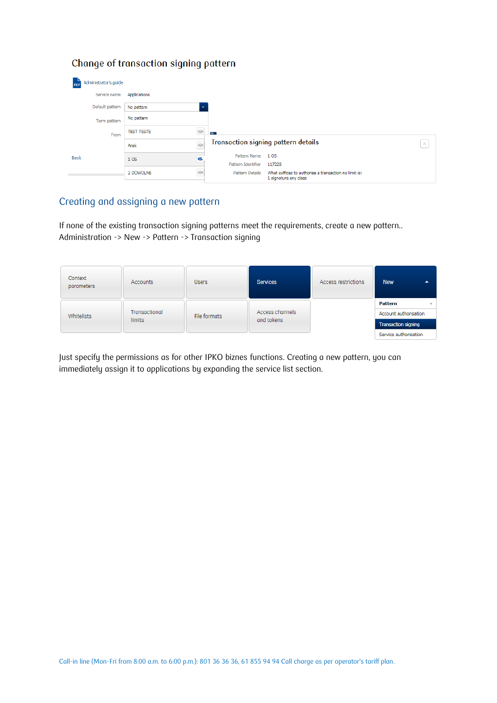### Change of transaction signing pattern

| Administrator's guide |                   |                                                                                                              |          |
|-----------------------|-------------------|--------------------------------------------------------------------------------------------------------------|----------|
| Service name          | Applications      |                                                                                                              |          |
| Default pattern       | No pattern        | $\overline{\phantom{a}}$                                                                                     |          |
| Term pattern          | No pattern        |                                                                                                              |          |
| From                  | <b>TEST TESTE</b> | $^{\circ}$<br>$=$ $\overline{ }$                                                                             |          |
|                       | Arek              | Transaction signing pattern details<br>$\odot$                                                               | $\times$ |
| <b>Back</b>           | 105               | Pattern Name<br>1 OS<br>$\bullet$<br>Pattern Identifier<br>117228                                            |          |
|                       | 2 DOWOLNE         | $\odot$<br>What suffices to authorise a transaction no limit is:<br>Pattern Details<br>1 signature any class |          |

### Creating and assigning a new pattern

If none of the existing transaction signing patterns meet the requirements, create a new pattern.. Administration -> New -> Pattern -> Transaction signing

| Context<br>parameters | <b>Accounts</b>                | <b>Users</b> | Services                      | Access restrictions | <b>New</b><br>▴            |
|-----------------------|--------------------------------|--------------|-------------------------------|---------------------|----------------------------|
|                       |                                |              |                               |                     | Pattern                    |
| <b>Whitelists</b>     | Transactional<br><i>limits</i> | File formats | Access channels<br>and tokens |                     | Account authorisation      |
|                       |                                |              |                               |                     | <b>Transaction signing</b> |
|                       |                                |              |                               |                     | Service authorisation      |

Just specify the permissions as for other IPKO biznes functions. Creating a new pattern, you can immediately assign it to applications by expanding the service list section.